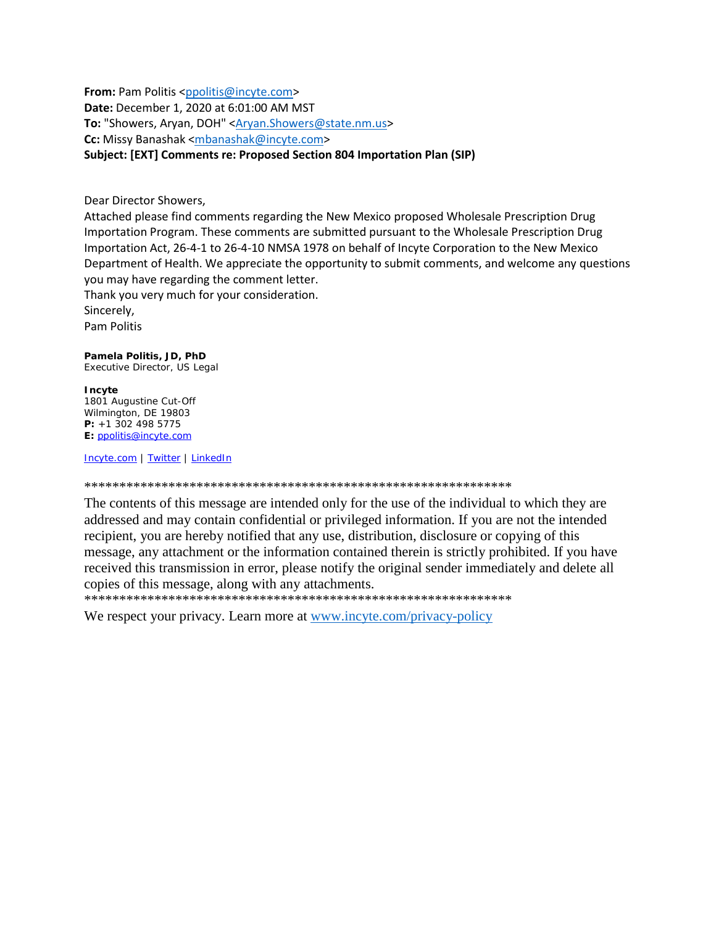From: Pam Politis <ppolitis@incyte.com> Date: December 1, 2020 at 6:01:00 AM MST To: "Showers, Aryan, DOH" <Aryan.Showers@state.nm.us> Cc: Missy Banashak <mbanashak@incyte.com> Subject: [EXT] Comments re: Proposed Section 804 Importation Plan (SIP)

Dear Director Showers,

Attached please find comments regarding the New Mexico proposed Wholesale Prescription Drug Importation Program. These comments are submitted pursuant to the Wholesale Prescription Drug Importation Act, 26-4-1 to 26-4-10 NMSA 1978 on behalf of Incyte Corporation to the New Mexico Department of Health. We appreciate the opportunity to submit comments, and welcome any questions you may have regarding the comment letter.

Thank you very much for your consideration.

Sincerely.

**Pam Politis** 

## Pamela Politis, JD, PhD

Executive Director, US Legal

## Incyte

1801 Augustine Cut-Off Wilmington, DE 19803  $P: +13024985775$ E: ppolitis@incyte.com

Incyte.com | Twitter | LinkedIn

The contents of this message are intended only for the use of the individual to which they are addressed and may contain confidential or privileged information. If you are not the intended recipient, you are hereby notified that any use, distribution, disclosure or copying of this message, any attachment or the information contained therein is strictly prohibited. If you have received this transmission in error, please notify the original sender immediately and delete all copies of this message, along with any attachments.

We respect your privacy. Learn more at www.incyte.com/privacy-policy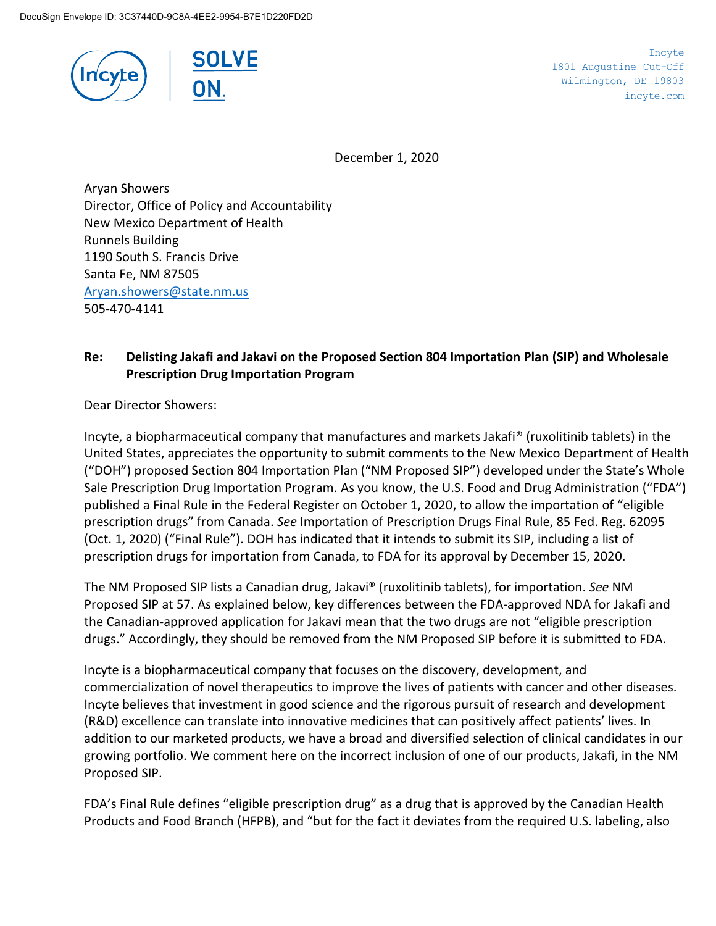



Incyte 1801 Augustine Cut-Off Wilmington, DE 19803 incyte.com

December 1, 2020

Aryan Showers Director, Office of Policy and Accountability New Mexico Department of Health Runnels Building 1190 South S. Francis Drive Santa Fe, NM 87505 [Aryan.showers@state.nm.us](mailto:Aryan.showers@state.nm.us) 505-470-4141

## **Re: Delisting Jakafi and Jakavi on the Proposed Section 804 Importation Plan (SIP) and Wholesale Prescription Drug Importation Program**

Dear Director Showers:

Incyte, a biopharmaceutical company that manufactures and markets Jakafi® (ruxolitinib tablets) in the United States, appreciates the opportunity to submit comments to the New Mexico Department of Health ("DOH") proposed Section 804 Importation Plan ("NM Proposed SIP") developed under the State's Whole Sale Prescription Drug Importation Program. As you know, the U.S. Food and Drug Administration ("FDA") published a Final Rule in the Federal Register on October 1, 2020, to allow the importation of "eligible prescription drugs" from Canada. *See* Importation of Prescription Drugs Final Rule, 85 Fed. Reg. 62095 (Oct. 1, 2020) ("Final Rule"). DOH has indicated that it intends to submit its SIP, including a list of prescription drugs for importation from Canada, to FDA for its approval by December 15, 2020.

The NM Proposed SIP lists a Canadian drug, Jakavi® (ruxolitinib tablets), for importation. *See* NM Proposed SIP at 57. As explained below, key differences between the FDA-approved NDA for Jakafi and the Canadian-approved application for Jakavi mean that the two drugs are not "eligible prescription drugs." Accordingly, they should be removed from the NM Proposed SIP before it is submitted to FDA.

Incyte is a biopharmaceutical company that focuses on the discovery, development, and commercialization of novel therapeutics to improve the lives of patients with cancer and other diseases. Incyte believes that investment in good science and the rigorous pursuit of research and development (R&D) excellence can translate into innovative medicines that can positively affect patients' lives. In addition to our marketed products, we have a broad and diversified selection of clinical candidates in our growing portfolio. We comment here on the incorrect inclusion of one of our products, Jakafi, in the NM Proposed SIP.

FDA's Final Rule defines "eligible prescription drug" as a drug that is approved by the Canadian Health Products and Food Branch (HFPB), and "but for the fact it deviates from the required U.S. labeling, also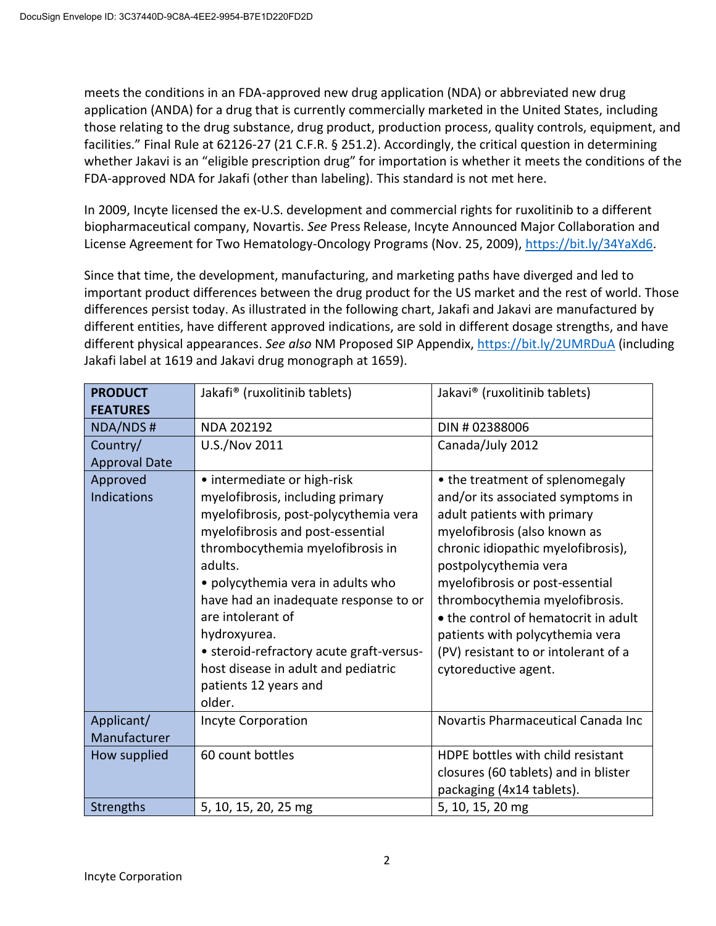meets the conditions in an FDA-approved new drug application (NDA) or abbreviated new drug application (ANDA) for a drug that is currently commercially marketed in the United States, including those relating to the drug substance, drug product, production process, quality controls, equipment, and facilities." Final Rule at 62126-27 (21 C.F.R. § 251.2). Accordingly, the critical question in determining whether Jakavi is an "eligible prescription drug" for importation is whether it meets the conditions of the FDA-approved NDA for Jakafi (other than labeling). This standard is not met here.

In 2009, Incyte licensed the ex-U.S. development and commercial rights for ruxolitinib to a different biopharmaceutical company, Novartis. *See* Press Release, Incyte Announced Major Collaboration and License Agreement for Two Hematology-Oncology Programs (Nov. 25, 2009), [https://bit.ly/34YaXd6.](https://bit.ly/34YaXd6)

Since that time, the development, manufacturing, and marketing paths have diverged and led to important product differences between the drug product for the US market and the rest of world. Those differences persist today. As illustrated in the following chart, Jakafi and Jakavi are manufactured by different entities, have different approved indications, are sold in different dosage strengths, and have different physical appearances. *See also* NM Proposed SIP Appendix,<https://bit.ly/2UMRDuA> (including Jakafi label at 1619 and Jakavi drug monograph at 1659).

| <b>PRODUCT</b>       | Jakafi <sup>®</sup> (ruxolitinib tablets) | Jakavi® (ruxolitinib tablets)        |
|----------------------|-------------------------------------------|--------------------------------------|
| <b>FEATURES</b>      |                                           |                                      |
| <b>NDA/NDS#</b>      | <b>NDA 202192</b>                         | DIN #02388006                        |
| Country/             | U.S./Nov 2011                             | Canada/July 2012                     |
| <b>Approval Date</b> |                                           |                                      |
| Approved             | • intermediate or high-risk               | • the treatment of splenomegaly      |
| <b>Indications</b>   | myelofibrosis, including primary          | and/or its associated symptoms in    |
|                      | myelofibrosis, post-polycythemia vera     | adult patients with primary          |
|                      | myelofibrosis and post-essential          | myelofibrosis (also known as         |
|                      | thrombocythemia myelofibrosis in          | chronic idiopathic myelofibrosis),   |
|                      | adults.                                   | postpolycythemia vera                |
|                      | • polycythemia vera in adults who         | myelofibrosis or post-essential      |
|                      | have had an inadequate response to or     | thrombocythemia myelofibrosis.       |
|                      | are intolerant of                         | • the control of hematocrit in adult |
|                      | hydroxyurea.                              | patients with polycythemia vera      |
|                      | • steroid-refractory acute graft-versus-  | (PV) resistant to or intolerant of a |
|                      | host disease in adult and pediatric       | cytoreductive agent.                 |
|                      | patients 12 years and                     |                                      |
|                      | older.                                    |                                      |
| Applicant/           | <b>Incyte Corporation</b>                 | Novartis Pharmaceutical Canada Inc   |
| Manufacturer         |                                           |                                      |
| How supplied         | 60 count bottles                          | HDPE bottles with child resistant    |
|                      |                                           | closures (60 tablets) and in blister |
|                      |                                           | packaging (4x14 tablets).            |
| <b>Strengths</b>     | 5, 10, 15, 20, 25 mg                      | 5, 10, 15, 20 mg                     |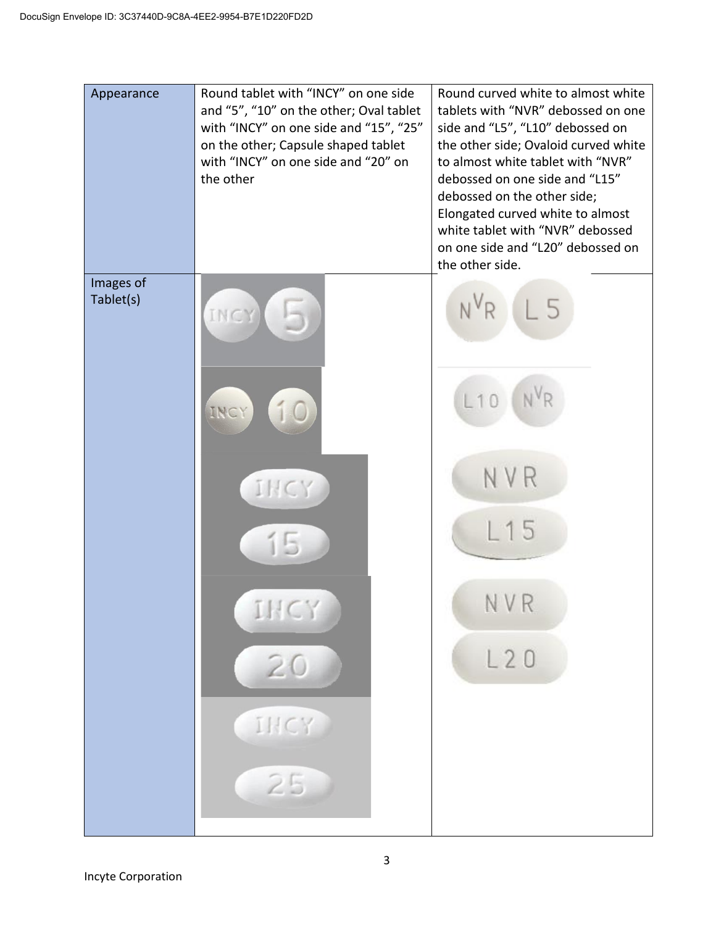| Appearance             | Round tablet with "INCY" on one side<br>and "5", "10" on the other; Oval tablet<br>with "INCY" on one side and "15", "25"<br>on the other; Capsule shaped tablet<br>with "INCY" on one side and "20" on<br>the other | Round curved white to almost white<br>tablets with "NVR" debossed on one<br>side and "L5", "L10" debossed on<br>the other side; Ovaloid curved white<br>to almost white tablet with "NVR"<br>debossed on one side and "L15"<br>debossed on the other side;<br>Elongated curved white to almost<br>white tablet with "NVR" debossed<br>on one side and "L20" debossed on<br>the other side. |
|------------------------|----------------------------------------------------------------------------------------------------------------------------------------------------------------------------------------------------------------------|--------------------------------------------------------------------------------------------------------------------------------------------------------------------------------------------------------------------------------------------------------------------------------------------------------------------------------------------------------------------------------------------|
| Images of<br>Tablet(s) | INCY<br>INCY<br>IHCY<br>IHCY<br>20<br>INCY<br>25                                                                                                                                                                     | N <sup>V</sup> R<br>N <sup>V</sup> R<br>L10<br>NVR<br>15<br>NVR<br>L20                                                                                                                                                                                                                                                                                                                     |